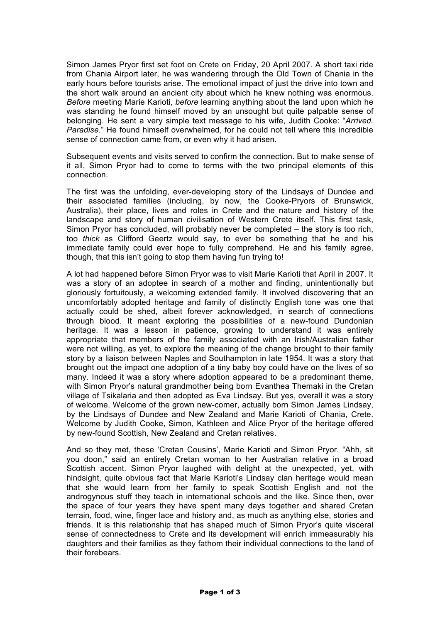Simon James Pryor first set foot on Crete on Friday, 20 April 2007. A short taxi ride from Chania Airport later, he was wandering through the Old Town of Chania in the early hours before tourists arise. The emotional impact of just the drive into town and the short walk around an ancient city about which he knew nothing was enormous. *Before* meeting Marie Karioti, *before* learning anything about the land upon which he was standing he found himself moved by an unsought but quite palpable sense of belonging. He sent a very simple text message to his wife, Judith Cooke: "*Arrived. Paradise.*" He found himself overwhelmed, for he could not tell where this incredible sense of connection came from, or even why it had arisen.

Subsequent events and visits served to confirm the connection. But to make sense of it all, Simon Pryor had to come to terms with the two principal elements of this connection.

The first was the unfolding, ever-developing story of the Lindsays of Dundee and their associated families (including, by now, the Cooke-Pryors of Brunswick, Australia), their place, lives and roles in Crete and the nature and history of the landscape and story of human civilisation of Western Crete itself. This first task, Simon Pryor has concluded, will probably never be completed – the story is too rich, too *thick* as Clifford Geertz would say, to ever be something that he and his immediate family could ever hope to fully comprehend. He and his family agree, though, that this isn't going to stop them having fun trying to!

A lot had happened before Simon Pryor was to visit Marie Karioti that April in 2007. It was a story of an adoptee in search of a mother and finding, unintentionally but gloriously fortuitously, a welcoming extended family. It involved discovering that an uncomfortably adopted heritage and family of distinctly English tone was one that actually could be shed, albeit forever acknowledged, in search of connections through blood. It meant exploring the possibilities of a new-found Dundonian heritage. It was a lesson in patience, growing to understand it was entirely appropriate that members of the family associated with an Irish/Australian father were not willing, as yet, to explore the meaning of the change brought to their family story by a liaison between Naples and Southampton in late 1954. It was a story that brought out the impact one adoption of a tiny baby boy could have on the lives of so many. Indeed it was a story where adoption appeared to be a predominant theme, with Simon Pryor's natural grandmother being born Evanthea Themaki in the Cretan village of Tsikalaria and then adopted as Eva Lindsay. But yes, overall it was a story of welcome. Welcome of the grown new-comer, actually born Simon James Lindsay, by the Lindsays of Dundee and New Zealand and Marie Karioti of Chania, Crete. Welcome by Judith Cooke, Simon, Kathleen and Alice Pryor of the heritage offered by new-found Scottish, New Zealand and Cretan relatives.

And so they met, these 'Cretan Cousins', Marie Karioti and Simon Pryor. "Ahh, sit you doon," said an entirely Cretan woman to her Australian relative in a broad Scottish accent. Simon Pryor laughed with delight at the unexpected, yet, with hindsight, quite obvious fact that Marie Karioti's Lindsay clan heritage would mean that she would learn from her family to speak Scottish English and not the androgynous stuff they teach in international schools and the like. Since then, over the space of four years they have spent many days together and shared Cretan terrain, food, wine, finger lace and history and, as much as anything else, stories and friends. It is this relationship that has shaped much of Simon Pryor's quite visceral sense of connectedness to Crete and its development will enrich immeasurably his daughters and their families as they fathom their individual connections to the land of their forebears.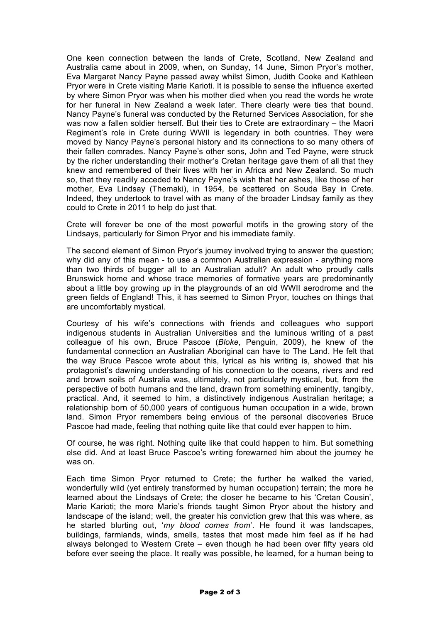One keen connection between the lands of Crete, Scotland, New Zealand and Australia came about in 2009, when, on Sunday, 14 June, Simon Pryor's mother, Eva Margaret Nancy Payne passed away whilst Simon, Judith Cooke and Kathleen Pryor were in Crete visiting Marie Karioti. It is possible to sense the influence exerted by where Simon Pryor was when his mother died when you read the words he wrote for her funeral in New Zealand a week later. There clearly were ties that bound. Nancy Payne's funeral was conducted by the Returned Services Association, for she was now a fallen soldier herself. But their ties to Crete are extraordinary – the Maori Regiment's role in Crete during WWII is legendary in both countries. They were moved by Nancy Payne's personal history and its connections to so many others of their fallen comrades. Nancy Payne's other sons, John and Ted Payne, were struck by the richer understanding their mother's Cretan heritage gave them of all that they knew and remembered of their lives with her in Africa and New Zealand. So much so, that they readily acceded to Nancy Payne's wish that her ashes, like those of her mother, Eva Lindsay (Themaki), in 1954, be scattered on Souda Bay in Crete. Indeed, they undertook to travel with as many of the broader Lindsay family as they could to Crete in 2011 to help do just that.

Crete will forever be one of the most powerful motifs in the growing story of the Lindsays, particularly for Simon Pryor and his immediate family.

The second element of Simon Pryor's journey involved trying to answer the question; why did any of this mean - to use a common Australian expression - anything more than two thirds of bugger all to an Australian adult? An adult who proudly calls Brunswick home and whose trace memories of formative years are predominantly about a little boy growing up in the playgrounds of an old WWII aerodrome and the green fields of England! This, it has seemed to Simon Pryor, touches on things that are uncomfortably mystical.

Courtesy of his wife's connections with friends and colleagues who support indigenous students in Australian Universities and the luminous writing of a past colleague of his own, Bruce Pascoe (*Bloke*, Penguin, 2009), he knew of the fundamental connection an Australian Aboriginal can have to The Land. He felt that the way Bruce Pascoe wrote about this, lyrical as his writing is, showed that his protagonist's dawning understanding of his connection to the oceans, rivers and red and brown soils of Australia was, ultimately, not particularly mystical, but, from the perspective of both humans and the land, drawn from something eminently, tangibly, practical. And, it seemed to him, a distinctively indigenous Australian heritage; a relationship born of 50,000 years of contiguous human occupation in a wide, brown land. Simon Pryor remembers being envious of the personal discoveries Bruce Pascoe had made, feeling that nothing quite like that could ever happen to him.

Of course, he was right. Nothing quite like that could happen to him. But something else did. And at least Bruce Pascoe's writing forewarned him about the journey he was on.

Each time Simon Pryor returned to Crete; the further he walked the varied, wonderfully wild (yet entirely transformed by human occupation) terrain; the more he learned about the Lindsays of Crete; the closer he became to his 'Cretan Cousin', Marie Karioti; the more Marie's friends taught Simon Pryor about the history and landscape of the island; well, the greater his conviction grew that this was where, as he started blurting out, '*my blood comes from*'. He found it was landscapes, buildings, farmlands, winds, smells, tastes that most made him feel as if he had always belonged to Western Crete – even though he had been over fifty years old before ever seeing the place. It really was possible, he learned, for a human being to